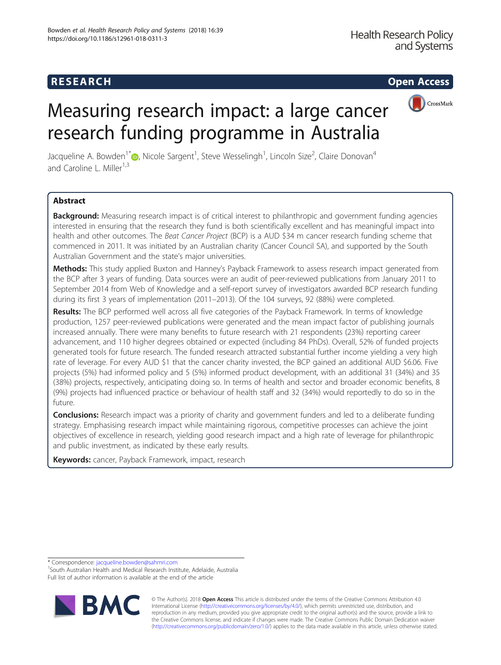# **RESEARCH CHILD CONTROL** CONTROL CONTROL CONTROL CONTROL CONTROL CONTROL CONTROL CONTROL CONTROL CONTROL CONTROL CONTROL CONTROL CONTROL CONTROL CONTROL CONTROL CONTROL CONTROL CONTROL CONTROL CONTROL CONTROL CONTROL CONTR



# Measuring research impact: a large cancer research funding programme in Australia

Jacqueline A. Bowden<sup>1\*</sup> $\textsf{\textcircled{\textsf{b}}}$ [,](http://orcid.org/0000-0003-1983-8930) Nicole Sargent<sup>1</sup>, Steve Wesselingh<sup>1</sup>, Lincoln Size<sup>2</sup>, Claire Donovan<sup>4</sup> and Caroline L. Miller<sup>1,3</sup>

# Abstract

Background: Measuring research impact is of critical interest to philanthropic and government funding agencies interested in ensuring that the research they fund is both scientifically excellent and has meaningful impact into health and other outcomes. The Beat Cancer Project (BCP) is a AUD \$34 m cancer research funding scheme that commenced in 2011. It was initiated by an Australian charity (Cancer Council SA), and supported by the South Australian Government and the state's major universities.

Methods: This study applied Buxton and Hanney's Payback Framework to assess research impact generated from the BCP after 3 years of funding. Data sources were an audit of peer-reviewed publications from January 2011 to September 2014 from Web of Knowledge and a self-report survey of investigators awarded BCP research funding during its first 3 years of implementation (2011–2013). Of the 104 surveys, 92 (88%) were completed.

Results: The BCP performed well across all five categories of the Payback Framework. In terms of knowledge production, 1257 peer-reviewed publications were generated and the mean impact factor of publishing journals increased annually. There were many benefits to future research with 21 respondents (23%) reporting career advancement, and 110 higher degrees obtained or expected (including 84 PhDs). Overall, 52% of funded projects generated tools for future research. The funded research attracted substantial further income yielding a very high rate of leverage. For every AUD \$1 that the cancer charity invested, the BCP gained an additional AUD \$6.06. Five projects (5%) had informed policy and 5 (5%) informed product development, with an additional 31 (34%) and 35 (38%) projects, respectively, anticipating doing so. In terms of health and sector and broader economic benefits, 8 (9%) projects had influenced practice or behaviour of health staff and 32 (34%) would reportedly to do so in the future.

**Conclusions:** Research impact was a priority of charity and government funders and led to a deliberate funding strategy. Emphasising research impact while maintaining rigorous, competitive processes can achieve the joint objectives of excellence in research, yielding good research impact and a high rate of leverage for philanthropic and public investment, as indicated by these early results.

Keywords: cancer, Payback Framework, impact, research

\* Correspondence: [jacqueline.bowden@sahmri.com](mailto:jacqueline.bowden@sahmri.com) <sup>1</sup>

<sup>1</sup>South Australian Health and Medical Research Institute, Adelaide, Australia Full list of author information is available at the end of the article



© The Author(s). 2018 Open Access This article is distributed under the terms of the Creative Commons Attribution 4.0 International License [\(http://creativecommons.org/licenses/by/4.0/](http://creativecommons.org/licenses/by/4.0/)), which permits unrestricted use, distribution, and reproduction in any medium, provided you give appropriate credit to the original author(s) and the source, provide a link to the Creative Commons license, and indicate if changes were made. The Creative Commons Public Domain Dedication waiver [\(http://creativecommons.org/publicdomain/zero/1.0/](http://creativecommons.org/publicdomain/zero/1.0/)) applies to the data made available in this article, unless otherwise stated.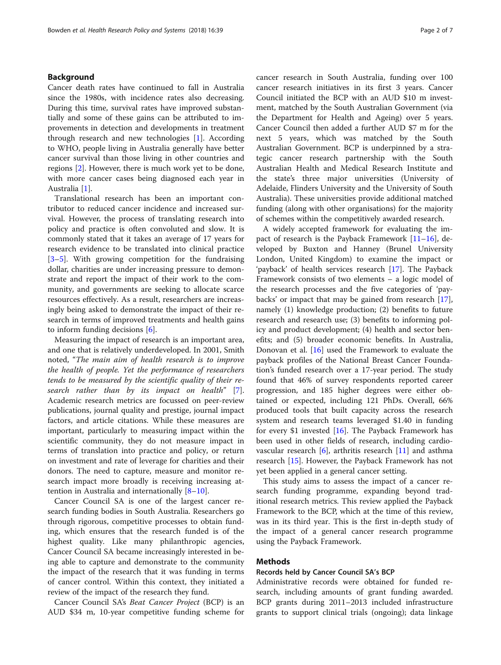### Background

Cancer death rates have continued to fall in Australia since the 1980s, with incidence rates also decreasing. During this time, survival rates have improved substantially and some of these gains can be attributed to improvements in detection and developments in treatment through research and new technologies [\[1](#page-6-0)]. According to WHO, people living in Australia generally have better cancer survival than those living in other countries and regions [\[2](#page-6-0)]. However, there is much work yet to be done, with more cancer cases being diagnosed each year in Australia [[1\]](#page-6-0).

Translational research has been an important contributor to reduced cancer incidence and increased survival. However, the process of translating research into policy and practice is often convoluted and slow. It is commonly stated that it takes an average of 17 years for research evidence to be translated into clinical practice [[3](#page-6-0)–[5\]](#page-6-0). With growing competition for the fundraising dollar, charities are under increasing pressure to demonstrate and report the impact of their work to the community, and governments are seeking to allocate scarce resources effectively. As a result, researchers are increasingly being asked to demonstrate the impact of their research in terms of improved treatments and health gains to inform funding decisions [[6](#page-6-0)].

Measuring the impact of research is an important area, and one that is relatively underdeveloped. In 2001, Smith noted, "The main aim of health research is to improve the health of people. Yet the performance of researchers tends to be measured by the scientific quality of their re-search rather than by its impact on health" [\[7](#page-6-0)]. Academic research metrics are focussed on peer-review publications, journal quality and prestige, journal impact factors, and article citations. While these measures are important, particularly to measuring impact within the scientific community, they do not measure impact in terms of translation into practice and policy, or return on investment and rate of leverage for charities and their donors. The need to capture, measure and monitor research impact more broadly is receiving increasing attention in Australia and internationally [[8](#page-6-0)–[10](#page-6-0)].

Cancer Council SA is one of the largest cancer research funding bodies in South Australia. Researchers go through rigorous, competitive processes to obtain funding, which ensures that the research funded is of the highest quality. Like many philanthropic agencies, Cancer Council SA became increasingly interested in being able to capture and demonstrate to the community the impact of the research that it was funding in terms of cancer control. Within this context, they initiated a review of the impact of the research they fund.

Cancer Council SA's Beat Cancer Project (BCP) is an AUD \$34 m, 10-year competitive funding scheme for cancer research in South Australia, funding over 100 cancer research initiatives in its first 3 years. Cancer Council initiated the BCP with an AUD \$10 m investment, matched by the South Australian Government (via the Department for Health and Ageing) over 5 years. Cancer Council then added a further AUD \$7 m for the next 5 years, which was matched by the South Australian Government. BCP is underpinned by a strategic cancer research partnership with the South Australian Health and Medical Research Institute and the state's three major universities (University of Adelaide, Flinders University and the University of South Australia). These universities provide additional matched funding (along with other organisations) for the majority of schemes within the competitively awarded research.

A widely accepted framework for evaluating the impact of research is the Payback Framework [[11](#page-6-0)–[16](#page-6-0)], developed by Buxton and Hanney (Brunel University London, United Kingdom) to examine the impact or 'payback' of health services research [[17](#page-6-0)]. The Payback Framework consists of two elements – a logic model of the research processes and the five categories of 'paybacks' or impact that may be gained from research [\[17](#page-6-0)], namely (1) knowledge production; (2) benefits to future research and research use; (3) benefits to informing policy and product development; (4) health and sector benefits; and (5) broader economic benefits. In Australia, Donovan et al. [\[16](#page-6-0)] used the Framework to evaluate the payback profiles of the National Breast Cancer Foundation's funded research over a 17-year period. The study found that 46% of survey respondents reported career progression, and 185 higher degrees were either obtained or expected, including 121 PhDs. Overall, 66% produced tools that built capacity across the research system and research teams leveraged \$1.40 in funding for every \$1 invested [\[16](#page-6-0)]. The Payback Framework has been used in other fields of research, including cardiovascular research [[6](#page-6-0)], arthritis research [[11](#page-6-0)] and asthma research [\[15](#page-6-0)]. However, the Payback Framework has not yet been applied in a general cancer setting.

This study aims to assess the impact of a cancer research funding programme, expanding beyond traditional research metrics. This review applied the Payback Framework to the BCP, which at the time of this review, was in its third year. This is the first in-depth study of the impact of a general cancer research programme using the Payback Framework.

#### Methods

#### Records held by Cancer Council SA's BCP

Administrative records were obtained for funded research, including amounts of grant funding awarded. BCP grants during 2011–2013 included infrastructure grants to support clinical trials (ongoing); data linkage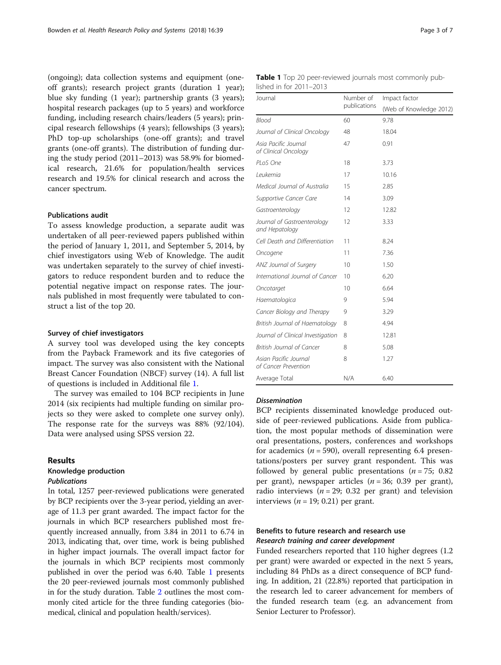(ongoing); data collection systems and equipment (oneoff grants); research project grants (duration 1 year); blue sky funding (1 year); partnership grants (3 years); hospital research packages (up to 5 years) and workforce funding, including research chairs/leaders (5 years); principal research fellowships (4 years); fellowships (3 years); PhD top-up scholarships (one-off grants); and travel grants (one-off grants). The distribution of funding during the study period (2011–2013) was 58.9% for biomedical research, 21.6% for population/health services research and 19.5% for clinical research and across the cancer spectrum.

#### Publications audit

To assess knowledge production, a separate audit was undertaken of all peer-reviewed papers published within the period of January 1, 2011, and September 5, 2014, by chief investigators using Web of Knowledge. The audit was undertaken separately to the survey of chief investigators to reduce respondent burden and to reduce the potential negative impact on response rates. The journals published in most frequently were tabulated to construct a list of the top 20.

#### Survey of chief investigators

A survey tool was developed using the key concepts from the Payback Framework and its five categories of impact. The survey was also consistent with the National Breast Cancer Foundation (NBCF) survey (14). A full list of questions is included in Additional file [1.](#page-6-0)

The survey was emailed to 104 BCP recipients in June 2014 (six recipients had multiple funding on similar projects so they were asked to complete one survey only). The response rate for the surveys was 88% (92/104). Data were analysed using SPSS version 22.

#### Results

#### Knowledge production **Publications**

In total, 1257 peer-reviewed publications were generated by BCP recipients over the 3-year period, yielding an average of 11.3 per grant awarded. The impact factor for the journals in which BCP researchers published most frequently increased annually, from 3.84 in 2011 to 6.74 in 2013, indicating that, over time, work is being published in higher impact journals. The overall impact factor for the journals in which BCP recipients most commonly published in over the period was 6.40. Table 1 presents the 20 peer-reviewed journals most commonly published in for the study duration. Table [2](#page-3-0) outlines the most commonly cited article for the three funding categories (biomedical, clinical and population health/services).

|                         | <b>Table 1</b> Top 20 peer-reviewed journals most commonly pub- |  |  |
|-------------------------|-----------------------------------------------------------------|--|--|
| lished in for 2011–2013 |                                                                 |  |  |

| Journal                                       | Number of    | Impact factor           |  |  |
|-----------------------------------------------|--------------|-------------------------|--|--|
|                                               | publications | (Web of Knowledge 2012) |  |  |
| <b>Blood</b>                                  | 60           | 9.78                    |  |  |
| Journal of Clinical Oncology                  | 48           | 18.04                   |  |  |
| Asia Pacific Journal<br>of Clinical Oncology  | 47           | 0.91                    |  |  |
| PLoS One                                      | 18           | 3.73                    |  |  |
| Leukemia                                      | 17           | 10.16                   |  |  |
| Medical Journal of Australia                  | 15           | 2.85                    |  |  |
| Supportive Cancer Care                        | 14           | 3.09                    |  |  |
| Gastroenterology                              | 12           | 12.82                   |  |  |
| Journal of Gastroenterology<br>and Hepatology | 12           | 3.33                    |  |  |
| Cell Death and Differentiation                | 11           | 8.24                    |  |  |
| Oncogene                                      | 11           | 7.36                    |  |  |
| ANZ Journal of Surgery                        | 10           | 1.50                    |  |  |
| International Journal of Cancer               | 10           | 6.20                    |  |  |
| Oncotarget                                    | 10           | 6.64                    |  |  |
| Haematologica                                 | 9            | 5.94                    |  |  |
| Cancer Biology and Therapy                    | 9            | 3.29                    |  |  |
| British Journal of Haematology                | 8            | 4.94                    |  |  |
| Journal of Clinical Investigation             | 8            | 12.81                   |  |  |
| British Journal of Cancer                     | 8            | 5.08                    |  |  |
| Asian Pacific Journal<br>of Cancer Prevention | 8            | 1.27                    |  |  |
| Average Total                                 | N/A          | 6.40                    |  |  |

#### Dissemination

BCP recipients disseminated knowledge produced outside of peer-reviewed publications. Aside from publication, the most popular methods of dissemination were oral presentations, posters, conferences and workshops for academics ( $n = 590$ ), overall representing 6.4 presentations/posters per survey grant respondent. This was followed by general public presentations ( $n = 75$ ; 0.82 per grant), newspaper articles ( $n = 36$ ; 0.39 per grant), radio interviews ( $n = 29$ ; 0.32 per grant) and television interviews ( $n = 19$ ; 0.21) per grant.

# Benefits to future research and research use Research training and career development

Funded researchers reported that 110 higher degrees (1.2 per grant) were awarded or expected in the next 5 years, including 84 PhDs as a direct consequence of BCP funding. In addition, 21 (22.8%) reported that participation in the research led to career advancement for members of the funded research team (e.g. an advancement from Senior Lecturer to Professor).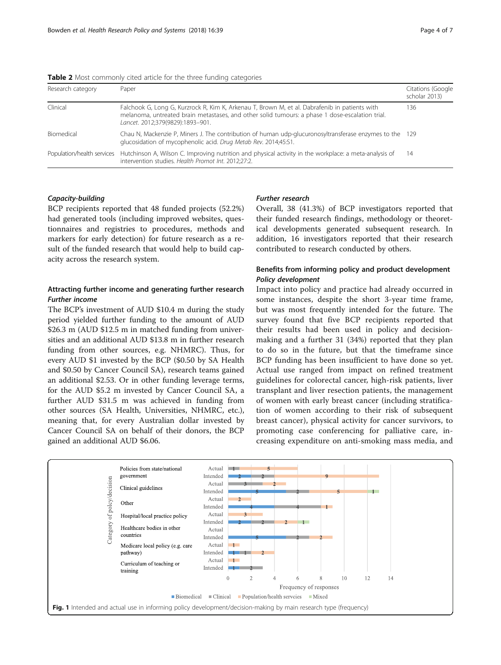<span id="page-3-0"></span>Table 2 Most commonly cited article for the three funding categories

| Research category | Paper                                                                                                                                                                                                                                | Citations (Google<br>scholar 2013) |
|-------------------|--------------------------------------------------------------------------------------------------------------------------------------------------------------------------------------------------------------------------------------|------------------------------------|
| Clinical          | Falchook G, Long G, Kurzrock R, Kim K, Arkenau T, Brown M, et al. Dabrafenib in patients with<br>melanoma, untreated brain metastases, and other solid tumours: a phase 1 dose-escalation trial.<br>Lancet. 2012;379(9829):1893-901. | 136                                |
| Biomedical        | Chau N, Mackenzie P, Miners J. The contribution of human udp-glucuronosyltransferase enzymes to the 129<br>glucosidation of mycophenolic acid. Drug Metab Rev. 2014;45:S1.                                                           |                                    |
|                   | Population/health services Hutchinson A, Wilson C. Improving nutrition and physical activity in the workplace: a meta-analysis of<br>intervention studies. Health Promot Int. 2012;27:2.                                             | 14                                 |

#### Capacity-building

BCP recipients reported that 48 funded projects (52.2%) had generated tools (including improved websites, questionnaires and registries to procedures, methods and markers for early detection) for future research as a result of the funded research that would help to build capacity across the research system.

# Attracting further income and generating further research Further income

The BCP's investment of AUD \$10.4 m during the study period yielded further funding to the amount of AUD \$26.3 m (AUD \$12.5 m in matched funding from universities and an additional AUD \$13.8 m in further research funding from other sources, e.g. NHMRC). Thus, for every AUD \$1 invested by the BCP (\$0.50 by SA Health and \$0.50 by Cancer Council SA), research teams gained an additional \$2.53. Or in other funding leverage terms, for the AUD \$5.2 m invested by Cancer Council SA, a further AUD \$31.5 m was achieved in funding from other sources (SA Health, Universities, NHMRC, etc.), meaning that, for every Australian dollar invested by Cancer Council SA on behalf of their donors, the BCP gained an additional AUD \$6.06.

#### Further research

Overall, 38 (41.3%) of BCP investigators reported that their funded research findings, methodology or theoretical developments generated subsequent research. In addition, 16 investigators reported that their research contributed to research conducted by others.

# Benefits from informing policy and product development Policy development

Impact into policy and practice had already occurred in some instances, despite the short 3-year time frame, but was most frequently intended for the future. The survey found that five BCP recipients reported that their results had been used in policy and decisionmaking and a further 31 (34%) reported that they plan to do so in the future, but that the timeframe since BCP funding has been insufficient to have done so yet. Actual use ranged from impact on refined treatment guidelines for colorectal cancer, high-risk patients, liver transplant and liver resection patients, the management of women with early breast cancer (including stratification of women according to their risk of subsequent breast cancer), physical activity for cancer survivors, to promoting case conferencing for palliative care, increasing expenditure on anti-smoking mass media, and

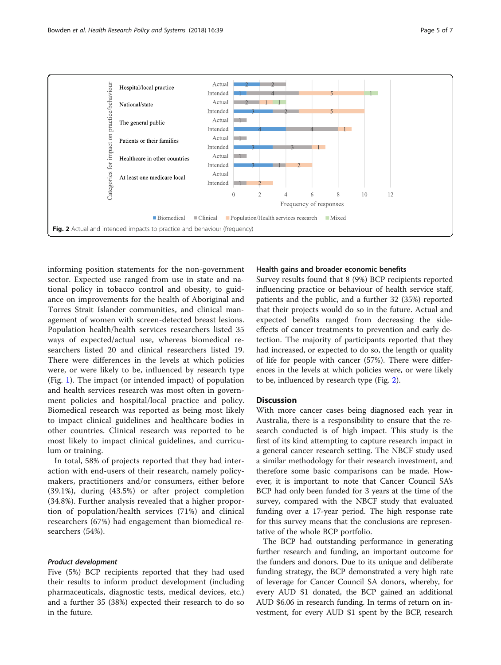

informing position statements for the non-government sector. Expected use ranged from use in state and national policy in tobacco control and obesity, to guidance on improvements for the health of Aboriginal and Torres Strait Islander communities, and clinical management of women with screen-detected breast lesions. Population health/health services researchers listed 35 ways of expected/actual use, whereas biomedical researchers listed 20 and clinical researchers listed 19. There were differences in the levels at which policies were, or were likely to be, influenced by research type (Fig. [1](#page-3-0)). The impact (or intended impact) of population and health services research was most often in government policies and hospital/local practice and policy. Biomedical research was reported as being most likely to impact clinical guidelines and healthcare bodies in other countries. Clinical research was reported to be most likely to impact clinical guidelines, and curriculum or training.

In total, 58% of projects reported that they had interaction with end-users of their research, namely policymakers, practitioners and/or consumers, either before (39.1%), during (43.5%) or after project completion (34.8%). Further analysis revealed that a higher proportion of population/health services (71%) and clinical researchers (67%) had engagement than biomedical researchers (54%).

#### Product development

Five (5%) BCP recipients reported that they had used their results to inform product development (including pharmaceuticals, diagnostic tests, medical devices, etc.) and a further 35 (38%) expected their research to do so in the future.

#### Health gains and broader economic benefits

Survey results found that 8 (9%) BCP recipients reported influencing practice or behaviour of health service staff, patients and the public, and a further 32 (35%) reported that their projects would do so in the future. Actual and expected benefits ranged from decreasing the sideeffects of cancer treatments to prevention and early detection. The majority of participants reported that they had increased, or expected to do so, the length or quality of life for people with cancer (57%). There were differences in the levels at which policies were, or were likely to be, influenced by research type (Fig. 2).

#### **Discussion**

With more cancer cases being diagnosed each year in Australia, there is a responsibility to ensure that the research conducted is of high impact. This study is the first of its kind attempting to capture research impact in a general cancer research setting. The NBCF study used a similar methodology for their research investment, and therefore some basic comparisons can be made. However, it is important to note that Cancer Council SA's BCP had only been funded for 3 years at the time of the survey, compared with the NBCF study that evaluated funding over a 17-year period. The high response rate for this survey means that the conclusions are representative of the whole BCP portfolio.

The BCP had outstanding performance in generating further research and funding, an important outcome for the funders and donors. Due to its unique and deliberate funding strategy, the BCP demonstrated a very high rate of leverage for Cancer Council SA donors, whereby, for every AUD \$1 donated, the BCP gained an additional AUD \$6.06 in research funding. In terms of return on investment, for every AUD \$1 spent by the BCP, research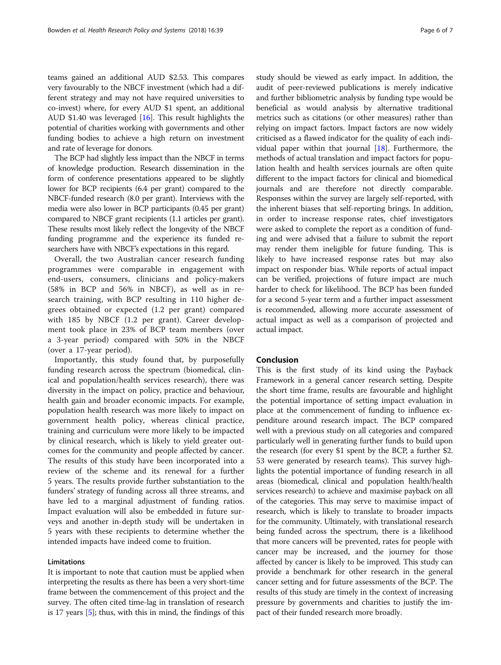teams gained an additional AUD \$2.53. This compares very favourably to the NBCF investment (which had a different strategy and may not have required universities to co-invest) where, for every AUD \$1 spent, an additional AUD \$1.40 was leveraged [\[16\]](#page-6-0). This result highlights the potential of charities working with governments and other funding bodies to achieve a high return on investment and rate of leverage for donors.

The BCP had slightly less impact than the NBCF in terms of knowledge production. Research dissemination in the form of conference presentations appeared to be slightly lower for BCP recipients (6.4 per grant) compared to the NBCF-funded research (8.0 per grant). Interviews with the media were also lower in BCP participants (0.45 per grant) compared to NBCF grant recipients (1.1 articles per grant). These results most likely reflect the longevity of the NBCF funding programme and the experience its funded researchers have with NBCF's expectations in this regard.

Overall, the two Australian cancer research funding programmes were comparable in engagement with end-users, consumers, clinicians and policy-makers (58% in BCP and 56% in NBCF), as well as in research training, with BCP resulting in 110 higher degrees obtained or expected (1.2 per grant) compared with 185 by NBCF (1.2 per grant). Career development took place in 23% of BCP team members (over a 3-year period) compared with 50% in the NBCF (over a 17-year period).

Importantly, this study found that, by purposefully funding research across the spectrum (biomedical, clinical and population/health services research), there was diversity in the impact on policy, practice and behaviour, health gain and broader economic impacts. For example, population health research was more likely to impact on government health policy, whereas clinical practice, training and curriculum were more likely to be impacted by clinical research, which is likely to yield greater outcomes for the community and people affected by cancer. The results of this study have been incorporated into a review of the scheme and its renewal for a further 5 years. The results provide further substantiation to the funders' strategy of funding across all three streams, and have led to a marginal adjustment of funding ratios. Impact evaluation will also be embedded in future surveys and another in-depth study will be undertaken in 5 years with these recipients to determine whether the intended impacts have indeed come to fruition.

#### Limitations

It is important to note that caution must be applied when interpreting the results as there has been a very short-time frame between the commencement of this project and the survey. The often cited time-lag in translation of research is 17 years [[5\]](#page-6-0); thus, with this in mind, the findings of this study should be viewed as early impact. In addition, the audit of peer-reviewed publications is merely indicative and further bibliometric analysis by funding type would be beneficial as would analysis by alternative traditional metrics such as citations (or other measures) rather than relying on impact factors. Impact factors are now widely criticised as a flawed indicator for the quality of each individual paper within that journal [\[18\]](#page-6-0). Furthermore, the methods of actual translation and impact factors for population health and health services journals are often quite different to the impact factors for clinical and biomedical journals and are therefore not directly comparable. Responses within the survey are largely self-reported, with the inherent biases that self-reporting brings. In addition, in order to increase response rates, chief investigators were asked to complete the report as a condition of funding and were advised that a failure to submit the report may render them ineligible for future funding. This is likely to have increased response rates but may also impact on responder bias. While reports of actual impact can be verified, projections of future impact are much harder to check for likelihood. The BCP has been funded for a second 5-year term and a further impact assessment is recommended, allowing more accurate assessment of actual impact as well as a comparison of projected and actual impact.

#### Conclusion

This is the first study of its kind using the Payback Framework in a general cancer research setting. Despite the short time frame, results are favourable and highlight the potential importance of setting impact evaluation in place at the commencement of funding to influence expenditure around research impact. The BCP compared well with a previous study on all categories and compared particularly well in generating further funds to build upon the research (for every \$1 spent by the BCP, a further \$2. 53 were generated by research teams). This survey highlights the potential importance of funding research in all areas (biomedical, clinical and population health/health services research) to achieve and maximise payback on all of the categories. This may serve to maximise impact of research, which is likely to translate to broader impacts for the community. Ultimately, with translational research being funded across the spectrum, there is a likelihood that more cancers will be prevented, rates for people with cancer may be increased, and the journey for those affected by cancer is likely to be improved. This study can provide a benchmark for other research in the general cancer setting and for future assessments of the BCP. The results of this study are timely in the context of increasing pressure by governments and charities to justify the impact of their funded research more broadly.